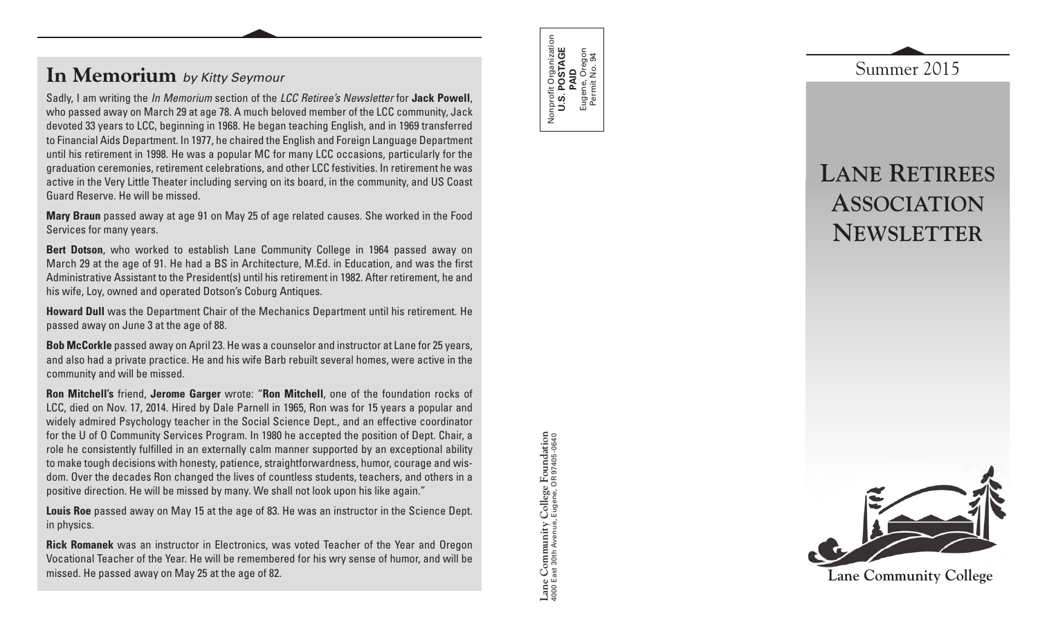## **In Memorium** *by Kitty Seymour*

Sadly, I am writing the *In Memorium* section of the *LCC Retiree's Newsletter* for **Jack Powell**, who passed away on March 29 at age 78. A much beloved member of the LCC community, Jack devoted 33 years to LCC, beginning in 1968. He began teaching English, and in 1969 transferred to Financial Aids Department. In 1977, he chaired the English and Foreign Language Department until his retirement in 1998. He was a popular MC for many LCC occasions, particularly for the graduation ceremonies, retirement celebrations, and other LCC festivities. In retirement he was active in the Very Little Theater including serving on its board, in the community, and US Coast Guard Reserve. He will be missed.

**Mary Braun** passed away at age 91 on May 25 of age related causes. She worked in the Food Services for many years.

**Bert Dotson**, who worked to establish Lane Community College in 1964 passed away on March 29 at the age of 91. He had a BS in Architecture, M.Ed. in Education, and was the first Administrative Assistant to the President(s) until his retirement in 1982. After retirement, he and his wife, Loy, owned and operated Dotson's Coburg Antiques.

**Howard Dull** was the Department Chair of the Mechanics Department until his retirement. He passed away on June 3 at the age of 88.

**Bob McCorkle** passed away on April 23. He was a counselor and instructor at Lane for 25 years, and also had a private practice. He and his wife Barb rebuilt several homes, were active in the community and will be missed.

**Ron Mitchell's** friend, **Jerome Garger** wrote: "**Ron Mitchell**, one of the foundation rocks of LCC, died on Nov. 17, 2014. Hired by Dale Parnell in 1965, Ron was for 15 years a popular and widely admired Psychology teacher in the Social Science Dept., and an effective coordinator for the U of O Community Services Program. In 1980 he accepted the position of Dept. Chair, a role he consistently fulfilled in an externally calm manner supported by an exceptional ability to make tough decisions with honesty, patience, straightforwardness, humor, courage and wisdom. Over the decades Ron changed the lives of countless students, teachers, and others in a positive direction. He will be missed by many. We shall not look upon his like again."

**Louis Roe** passed away on May 15 at the age of 83. He was an instructor in the Science Dept. in physics.

**Rick Romanek** was an instructor in Electronics, was voted Teacher of the Year and Oregon Vocational Teacher of the Year. He will be remembered for his wry sense of humor, and will be missed. He passed away on May 25 at the age of 82.

College Foundation<br>Eugene, OR 97405-0640 **Lane Community College Foundation** 4000 East 30th Avenue, Eugene, OR 97405-0640 Lane Community

Nonprofit Organization **U.S. POSTAGE**  Nonprofit Organization<br>**U.S. POSTAGE**<br>**PAID**<br>Eugene, Oregon<br>Permit No. 94 Eugene, Oregon Permit No. 94